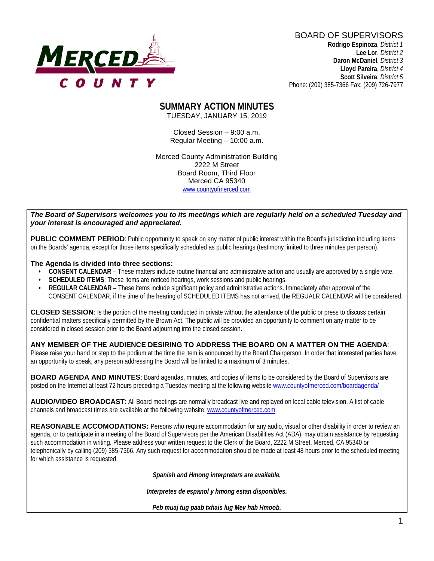

BOARD OF SUPERVISORS **Rodrigo Espinoza**, *District 1*  **Lee Lor**, *District 2*  **Daron McDaniel**, *District 3*  **Lloyd Pareira**, *District 4*  **Scott Silveira**, *District 5* Phone: (209) 385-7366 Fax: (209) 726-7977

#### **SUMMARY ACTION MINUTES** TUESDAY, JANUARY 15, 2019

Closed Session – 9:00 a.m. Regular Meeting – 10:00 a.m.

Merced County Administration Building 2222 M Street Board Room, Third Floor Merced CA 95340 www.countyofmerced.com

#### *The Board of Supervisors welcomes you to its meetings which are regularly held on a scheduled Tuesday and your interest is encouraged and appreciated.*

**PUBLIC COMMENT PERIOD:** Public opportunity to speak on any matter of public interest within the Board's jurisdiction including items on the Boards' agenda, except for those items specifically scheduled as public hearings (testimony limited to three minutes per person).

#### **The Agenda is divided into three sections:**

- **CONSENT CALENDAR** These matters include routine financial and administrative action and usually are approved by a single vote.
- **SCHEDULED ITEMS:** These items are noticed hearings, work sessions and public hearings.
- **REGULAR CALENDAR** These items include significant policy and administrative actions. Immediately after approval of the CONSENT CALENDAR, if the time of the hearing of SCHEDULED ITEMS has not arrived, the REGUALR CALENDAR will be considered.

**CLOSED SESSION**: Is the portion of the meeting conducted in private without the attendance of the public or press to discuss certain confidential matters specifically permitted by the Brown Act. The public will be provided an opportunity to comment on any matter to be considered in closed session prior to the Board adjourning into the closed session.

#### **ANY MEMBER OF THE AUDIENCE DESIRING TO ADDRESS THE BOARD ON A MATTER ON THE AGENDA**:

Please raise your hand or step to the podium at the time the item is announced by the Board Chairperson. In order that interested parties have an opportunity to speak, any person addressing the Board will be limited to a maximum of 3 minutes.

**BOARD AGENDA AND MINUTES:** Board agendas, minutes, and copies of items to be considered by the Board of Supervisors are posted on the Internet at least 72 hours preceding a Tuesday meeting at the following website [www.countyofmerced.com/boardagenda/](http://www.countyofmerced.com/boardagenda/) 

**AUDIO/VIDEO BROADCAST**: All Board meetings are normally broadcast live and replayed on local cable television. A list of cable channels and broadcast times are available at the following website[: www.countyofmerced.com](http://www.countyofmerced.com/)

**REASONABLE ACCOMODATIONS:** Persons who require accommodation for any audio, visual or other disability in order to review an agenda, or to participate in a meeting of the Board of Supervisors per the American Disabilities Act (ADA), may obtain assistance by requesting such accommodation in writing. Please address your written request to the Clerk of the Board, 2222 M Street, Merced, CA 95340 or telephonically by calling (209) 385-7366. Any such request for accommodation should be made at least 48 hours prior to the scheduled meeting for which assistance is requested.

*Spanish and Hmong interpreters are available.*

*Interpretes de espanol y hmong estan disponibles.*

*Peb muaj tug paab txhais lug Mev hab Hmoob.*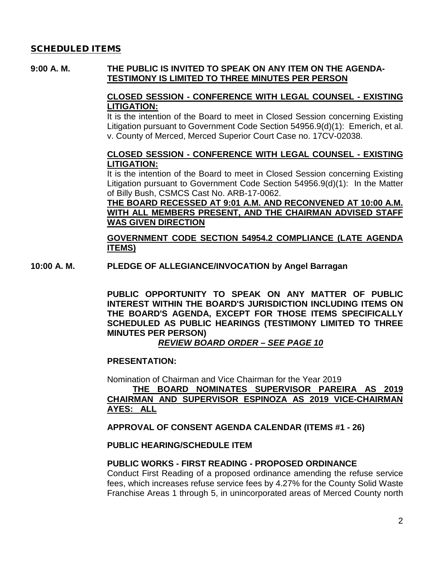### SCHEDULED ITEMS

### **9:00 A. M. THE PUBLIC IS INVITED TO SPEAK ON ANY ITEM ON THE AGENDA-TESTIMONY IS LIMITED TO THREE MINUTES PER PERSON**

### **CLOSED SESSION - CONFERENCE WITH LEGAL COUNSEL - EXISTING LITIGATION:**

It is the intention of the Board to meet in Closed Session concerning Existing Litigation pursuant to Government Code Section 54956.9(d)(1): Emerich, et al. v. County of Merced, Merced Superior Court Case no. 17CV-02038.

#### **CLOSED SESSION - CONFERENCE WITH LEGAL COUNSEL - EXISTING LITIGATION:**

It is the intention of the Board to meet in Closed Session concerning Existing Litigation pursuant to Government Code Section 54956.9(d)(1): In the Matter of Billy Bush, CSMCS Cast No. ARB-17-0062.

#### **THE BOARD RECESSED AT 9:01 A.M. AND RECONVENED AT 10:00 A.M. WITH ALL MEMBERS PRESENT, AND THE CHAIRMAN ADVISED STAFF WAS GIVEN DIRECTION**

**GOVERNMENT CODE SECTION 54954.2 COMPLIANCE (LATE AGENDA ITEMS)**

**10:00 A. M. PLEDGE OF ALLEGIANCE/INVOCATION by Angel Barragan**

**PUBLIC OPPORTUNITY TO SPEAK ON ANY MATTER OF PUBLIC INTEREST WITHIN THE BOARD'S JURISDICTION INCLUDING ITEMS ON THE BOARD'S AGENDA, EXCEPT FOR THOSE ITEMS SPECIFICALLY SCHEDULED AS PUBLIC HEARINGS (TESTIMONY LIMITED TO THREE MINUTES PER PERSON)**

### *REVIEW BOARD ORDER – SEE PAGE 10*

#### **PRESENTATION:**

Nomination of Chairman and Vice Chairman for the Year 2019 **THE BOARD NOMINATES SUPERVISOR PAREIRA AS 2019 CHAIRMAN AND SUPERVISOR ESPINOZA AS 2019 VICE-CHAIRMAN AYES: ALL**

#### **APPROVAL OF CONSENT AGENDA CALENDAR (ITEMS #1 - 26)**

#### **PUBLIC HEARING/SCHEDULE ITEM**

#### **PUBLIC WORKS - FIRST READING - PROPOSED ORDINANCE**

Conduct First Reading of a proposed ordinance amending the refuse service fees, which increases refuse service fees by 4.27% for the County Solid Waste Franchise Areas 1 through 5, in unincorporated areas of Merced County north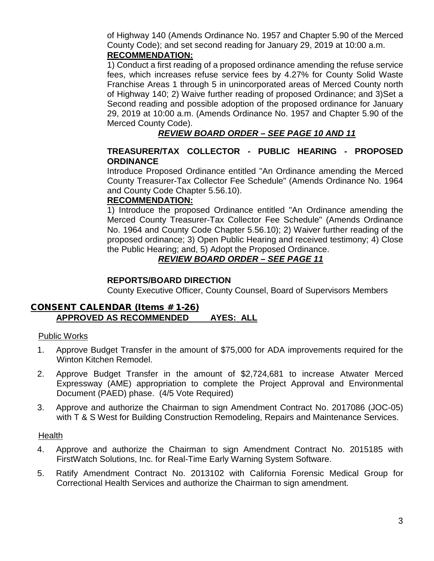of Highway 140 (Amends Ordinance No. 1957 and Chapter 5.90 of the Merced County Code); and set second reading for January 29, 2019 at 10:00 a.m. **RECOMMENDATION:**

1) Conduct a first reading of a proposed ordinance amending the refuse service fees, which increases refuse service fees by 4.27% for County Solid Waste Franchise Areas 1 through 5 in unincorporated areas of Merced County north of Highway 140; 2) Waive further reading of proposed Ordinance; and 3)Set a Second reading and possible adoption of the proposed ordinance for January 29, 2019 at 10:00 a.m. (Amends Ordinance No. 1957 and Chapter 5.90 of the Merced County Code).

## *REVIEW BOARD ORDER – SEE PAGE 10 AND 11*

### **TREASURER/TAX COLLECTOR - PUBLIC HEARING - PROPOSED ORDINANCE**

Introduce Proposed Ordinance entitled "An Ordinance amending the Merced County Treasurer-Tax Collector Fee Schedule" (Amends Ordinance No. 1964 and County Code Chapter 5.56.10).

#### **RECOMMENDATION:**

1) Introduce the proposed Ordinance entitled "An Ordinance amending the Merced County Treasurer-Tax Collector Fee Schedule" (Amends Ordinance No. 1964 and County Code Chapter 5.56.10); 2) Waiver further reading of the proposed ordinance; 3) Open Public Hearing and received testimony; 4) Close the Public Hearing; and, 5) Adopt the Proposed Ordinance.

## *REVIEW BOARD ORDER – SEE PAGE 11*

#### **REPORTS/BOARD DIRECTION**

County Executive Officer, County Counsel, Board of Supervisors Members

### CONSENT CALENDAR (Items # 1-26) **APPROVED AS RECOMMENDED AYES: ALL**

#### Public Works

- 1. Approve Budget Transfer in the amount of \$75,000 for ADA improvements required for the Winton Kitchen Remodel.
- 2. Approve Budget Transfer in the amount of \$2,724,681 to increase Atwater Merced Expressway (AME) appropriation to complete the Project Approval and Environmental Document (PAED) phase. (4/5 Vote Required)
- 3. Approve and authorize the Chairman to sign Amendment Contract No. 2017086 (JOC-05) with T & S West for Building Construction Remodeling, Repairs and Maintenance Services.

#### Health

- 4. Approve and authorize the Chairman to sign Amendment Contract No. 2015185 with FirstWatch Solutions, Inc. for Real-Time Early Warning System Software.
- 5. Ratify Amendment Contract No. 2013102 with California Forensic Medical Group for Correctional Health Services and authorize the Chairman to sign amendment.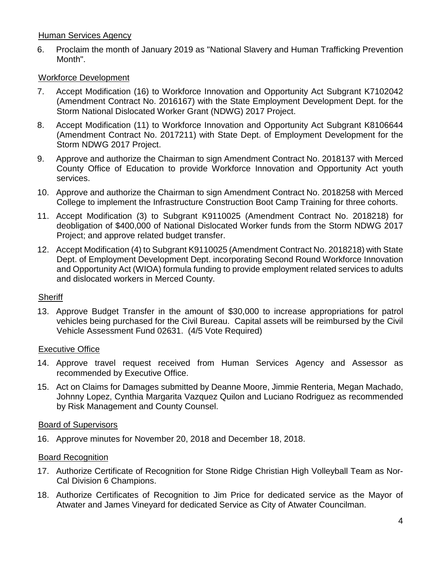### Human Services Agency

6. Proclaim the month of January 2019 as "National Slavery and Human Trafficking Prevention Month".

### Workforce Development

- 7. Accept Modification (16) to Workforce Innovation and Opportunity Act Subgrant K7102042 (Amendment Contract No. 2016167) with the State Employment Development Dept. for the Storm National Dislocated Worker Grant (NDWG) 2017 Project.
- 8. Accept Modification (11) to Workforce Innovation and Opportunity Act Subgrant K8106644 (Amendment Contract No. 2017211) with State Dept. of Employment Development for the Storm NDWG 2017 Project.
- 9. Approve and authorize the Chairman to sign Amendment Contract No. 2018137 with Merced County Office of Education to provide Workforce Innovation and Opportunity Act youth services.
- 10. Approve and authorize the Chairman to sign Amendment Contract No. 2018258 with Merced College to implement the Infrastructure Construction Boot Camp Training for three cohorts.
- 11. Accept Modification (3) to Subgrant K9110025 (Amendment Contract No. 2018218) for deobligation of \$400,000 of National Dislocated Worker funds from the Storm NDWG 2017 Project; and approve related budget transfer.
- 12. Accept Modification (4) to Subgrant K9110025 (Amendment Contract No. 2018218) with State Dept. of Employment Development Dept. incorporating Second Round Workforce Innovation and Opportunity Act (WIOA) formula funding to provide employment related services to adults and dislocated workers in Merced County.

#### **Sheriff**

13. Approve Budget Transfer in the amount of \$30,000 to increase appropriations for patrol vehicles being purchased for the Civil Bureau. Capital assets will be reimbursed by the Civil Vehicle Assessment Fund 02631. (4/5 Vote Required)

#### Executive Office

- 14. Approve travel request received from Human Services Agency and Assessor as recommended by Executive Office.
- 15. Act on Claims for Damages submitted by Deanne Moore, Jimmie Renteria, Megan Machado, Johnny Lopez, Cynthia Margarita Vazquez Quilon and Luciano Rodriguez as recommended by Risk Management and County Counsel.

#### Board of Supervisors

16. Approve minutes for November 20, 2018 and December 18, 2018.

### Board Recognition

- 17. Authorize Certificate of Recognition for Stone Ridge Christian High Volleyball Team as Nor-Cal Division 6 Champions.
- 18. Authorize Certificates of Recognition to Jim Price for dedicated service as the Mayor of Atwater and James Vineyard for dedicated Service as City of Atwater Councilman.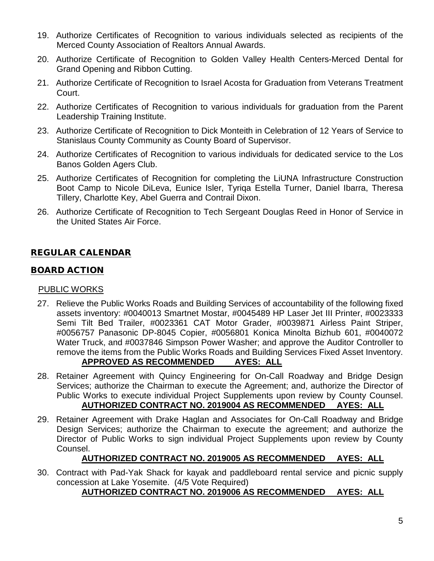- 19. Authorize Certificates of Recognition to various individuals selected as recipients of the Merced County Association of Realtors Annual Awards.
- 20. Authorize Certificate of Recognition to Golden Valley Health Centers-Merced Dental for Grand Opening and Ribbon Cutting.
- 21. Authorize Certificate of Recognition to Israel Acosta for Graduation from Veterans Treatment Court.
- 22. Authorize Certificates of Recognition to various individuals for graduation from the Parent Leadership Training Institute.
- 23. Authorize Certificate of Recognition to Dick Monteith in Celebration of 12 Years of Service to Stanislaus County Community as County Board of Supervisor.
- 24. Authorize Certificates of Recognition to various individuals for dedicated service to the Los Banos Golden Agers Club.
- 25. Authorize Certificates of Recognition for completing the LiUNA Infrastructure Construction Boot Camp to Nicole DiLeva, Eunice Isler, Tyriqa Estella Turner, Daniel Ibarra, Theresa Tillery, Charlotte Key, Abel Guerra and Contrail Dixon.
- 26. Authorize Certificate of Recognition to Tech Sergeant Douglas Reed in Honor of Service in the United States Air Force.

# REGULAR CALENDAR

### BOARD ACTION

#### PUBLIC WORKS

- 27. Relieve the Public Works Roads and Building Services of accountability of the following fixed assets inventory: #0040013 Smartnet Mostar, #0045489 HP Laser Jet III Printer, #0023333 Semi Tilt Bed Trailer, #0023361 CAT Motor Grader, #0039871 Airless Paint Striper, #0056757 Panasonic DP-8045 Copier, #0056801 Konica Minolta Bizhub 601, #0040072 Water Truck, and #0037846 Simpson Power Washer; and approve the Auditor Controller to remove the items from the Public Works Roads and Building Services Fixed Asset Inventory. **APPROVED AS RECOMMENDED AYES: ALL**
- 28. Retainer Agreement with Quincy Engineering for On-Call Roadway and Bridge Design Services; authorize the Chairman to execute the Agreement; and, authorize the Director of Public Works to execute individual Project Supplements upon review by County Counsel. **AUTHORIZED CONTRACT NO. 2019004 AS RECOMMENDED AYES: ALL**
- 29. Retainer Agreement with Drake Haglan and Associates for On-Call Roadway and Bridge Design Services; authorize the Chairman to execute the agreement; and authorize the Director of Public Works to sign individual Project Supplements upon review by County Counsel.

### **AUTHORIZED CONTRACT NO. 2019005 AS RECOMMENDED AYES: ALL**

30. Contract with Pad-Yak Shack for kayak and paddleboard rental service and picnic supply concession at Lake Yosemite. (4/5 Vote Required)

### **AUTHORIZED CONTRACT NO. 2019006 AS RECOMMENDED AYES: ALL**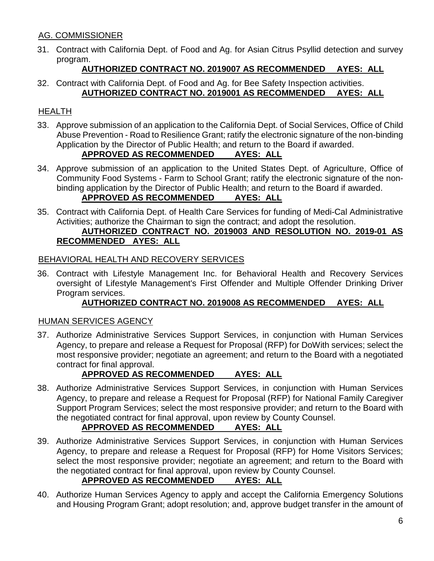# AG. COMMISSIONER

31. Contract with California Dept. of Food and Ag. for Asian Citrus Psyllid detection and survey program.

## **AUTHORIZED CONTRACT NO. 2019007 AS RECOMMENDED AYES: ALL**

32. Contract with California Dept. of Food and Ag. for Bee Safety Inspection activities. **AUTHORIZED CONTRACT NO. 2019001 AS RECOMMENDED AYES: ALL**

# HEALTH

33. Approve submission of an application to the California Dept. of Social Services, Office of Child Abuse Prevention - Road to Resilience Grant; ratify the electronic signature of the non-binding Application by the Director of Public Health; and return to the Board if awarded.

## **APPROVED AS RECOMMENDED AYES: ALL**

- 34. Approve submission of an application to the United States Dept. of Agriculture, Office of Community Food Systems - Farm to School Grant; ratify the electronic signature of the nonbinding application by the Director of Public Health; and return to the Board if awarded. **APPROVED AS RECOMMENDED AYES: ALL**
- 35. Contract with California Dept. of Health Care Services for funding of Medi-Cal Administrative Activities; authorize the Chairman to sign the contract; and adopt the resolution.

# **AUTHORIZED CONTRACT NO. 2019003 AND RESOLUTION NO. 2019-01 AS RECOMMENDED AYES: ALL**

### BEHAVIORAL HEALTH AND RECOVERY SERVICES

36. Contract with Lifestyle Management Inc. for Behavioral Health and Recovery Services oversight of Lifestyle Management's First Offender and Multiple Offender Drinking Driver Program services.

### **AUTHORIZED CONTRACT NO. 2019008 AS RECOMMENDED AYES: ALL**

### HUMAN SERVICES AGENCY

37. Authorize Administrative Services Support Services, in conjunction with Human Services Agency, to prepare and release a Request for Proposal (RFP) for DoWith services; select the most responsive provider; negotiate an agreement; and return to the Board with a negotiated contract for final approval.

# **APPROVED AS RECOMMENDED AYES: ALL**

38. Authorize Administrative Services Support Services, in conjunction with Human Services Agency, to prepare and release a Request for Proposal (RFP) for National Family Caregiver Support Program Services; select the most responsive provider; and return to the Board with the negotiated contract for final approval, upon review by County Counsel.

# **APPROVED AS RECOMMENDED AYES: ALL**

- 39. Authorize Administrative Services Support Services, in conjunction with Human Services Agency, to prepare and release a Request for Proposal (RFP) for Home Visitors Services; select the most responsive provider; negotiate an agreement; and return to the Board with the negotiated contract for final approval, upon review by County Counsel. **APPROVED AS RECOMMENDED AYES: ALL**
- 40. Authorize Human Services Agency to apply and accept the California Emergency Solutions and Housing Program Grant; adopt resolution; and, approve budget transfer in the amount of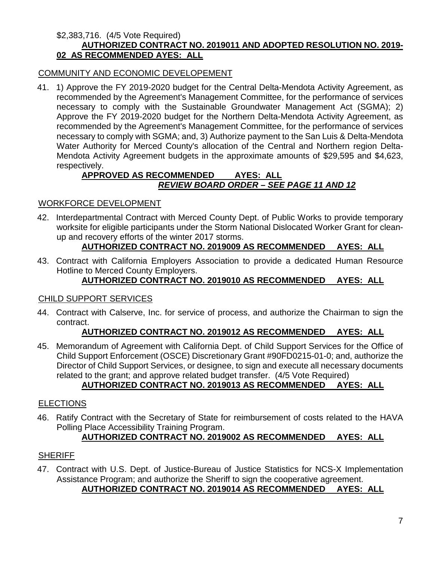#### \$2,383,716. (4/5 Vote Required) **AUTHORIZED CONTRACT NO. 2019011 AND ADOPTED RESOLUTION NO. 2019- 02 AS RECOMMENDED AYES: ALL**

### COMMUNITY AND ECONOMIC DEVELOPEMENT

41. 1) Approve the FY 2019-2020 budget for the Central Delta-Mendota Activity Agreement, as recommended by the Agreement's Management Committee, for the performance of services necessary to comply with the Sustainable Groundwater Management Act (SGMA); 2) Approve the FY 2019-2020 budget for the Northern Delta-Mendota Activity Agreement, as recommended by the Agreement's Management Committee, for the performance of services necessary to comply with SGMA; and, 3) Authorize payment to the San Luis & Delta-Mendota Water Authority for Merced County's allocation of the Central and Northern region Delta-Mendota Activity Agreement budgets in the approximate amounts of \$29,595 and \$4,623, respectively.

### **APPROVED AS RECOMMENDED AYES: ALL** *REVIEW BOARD ORDER – SEE PAGE 11 AND 12*

### WORKFORCE DEVELOPMENT

42. Interdepartmental Contract with Merced County Dept. of Public Works to provide temporary worksite for eligible participants under the Storm National Dislocated Worker Grant for cleanup and recovery efforts of the winter 2017 storms.

### **AUTHORIZED CONTRACT NO. 2019009 AS RECOMMENDED AYES: ALL**

43. Contract with California Employers Association to provide a dedicated Human Resource Hotline to Merced County Employers.

### **AUTHORIZED CONTRACT NO. 2019010 AS RECOMMENDED AYES: ALL**

#### CHILD SUPPORT SERVICES

44. Contract with Calserve, Inc. for service of process, and authorize the Chairman to sign the contract.

### **AUTHORIZED CONTRACT NO. 2019012 AS RECOMMENDED AYES: ALL**

45. Memorandum of Agreement with California Dept. of Child Support Services for the Office of Child Support Enforcement (OSCE) Discretionary Grant #90FD0215-01-0; and, authorize the Director of Child Support Services, or designee, to sign and execute all necessary documents related to the grant; and approve related budget transfer. (4/5 Vote Required)

## **AUTHORIZED CONTRACT NO. 2019013 AS RECOMMENDED AYES: ALL**

### **ELECTIONS**

46. Ratify Contract with the Secretary of State for reimbursement of costs related to the HAVA Polling Place Accessibility Training Program.

# **AUTHORIZED CONTRACT NO. 2019002 AS RECOMMENDED AYES: ALL**

### **SHERIFF**

47. Contract with U.S. Dept. of Justice-Bureau of Justice Statistics for NCS-X Implementation Assistance Program; and authorize the Sheriff to sign the cooperative agreement. **AUTHORIZED CONTRACT NO. 2019014 AS RECOMMENDED AYES: ALL**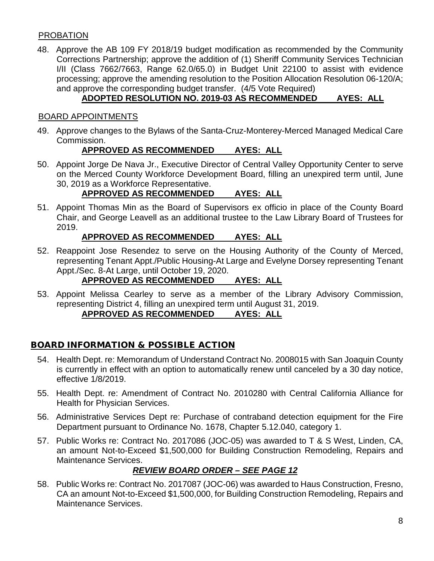### PROBATION

48. Approve the AB 109 FY 2018/19 budget modification as recommended by the Community Corrections Partnership; approve the addition of (1) Sheriff Community Services Technician I/II (Class 7662/7663, Range 62.0/65.0) in Budget Unit 22100 to assist with evidence processing; approve the amending resolution to the Position Allocation Resolution 06-120/A; and approve the corresponding budget transfer. (4/5 Vote Required)

# **ADOPTED RESOLUTION NO. 2019-03 AS RECOMMENDED AYES: ALL**

### BOARD APPOINTMENTS

49. Approve changes to the Bylaws of the Santa-Cruz-Monterey-Merced Managed Medical Care Commission.

### **APPROVED AS RECOMMENDED AYES: ALL**

50. Appoint Jorge De Nava Jr., Executive Director of Central Valley Opportunity Center to serve on the Merced County Workforce Development Board, filling an unexpired term until, June 30, 2019 as a Workforce Representative.

## **APPROVED AS RECOMMENDED AYES: ALL**

51. Appoint Thomas Min as the Board of Supervisors ex officio in place of the County Board Chair, and George Leavell as an additional trustee to the Law Library Board of Trustees for 2019.

## **APPROVED AS RECOMMENDED AYES: ALL**

52. Reappoint Jose Resendez to serve on the Housing Authority of the County of Merced, representing Tenant Appt./Public Housing-At Large and Evelyne Dorsey representing Tenant Appt./Sec. 8-At Large, until October 19, 2020.

## **APPROVED AS RECOMMENDED AYES: ALL**

53. Appoint Melissa Cearley to serve as a member of the Library Advisory Commission, representing District 4, filling an unexpired term until August 31, 2019.

# **APPROVED AS RECOMMENDED AYES: ALL**

# BOARD INFORMATION & POSSIBLE ACTION

- 54. Health Dept. re: Memorandum of Understand Contract No. 2008015 with San Joaquin County is currently in effect with an option to automatically renew until canceled by a 30 day notice, effective 1/8/2019.
- 55. Health Dept. re: Amendment of Contract No. 2010280 with Central California Alliance for Health for Physician Services.
- 56. Administrative Services Dept re: Purchase of contraband detection equipment for the Fire Department pursuant to Ordinance No. 1678, Chapter 5.12.040, category 1.
- 57. Public Works re: Contract No. 2017086 (JOC-05) was awarded to T & S West, Linden, CA, an amount Not-to-Exceed \$1,500,000 for Building Construction Remodeling, Repairs and Maintenance Services.

# *REVIEW BOARD ORDER – SEE PAGE 12*

58. Public Works re: Contract No. 2017087 (JOC-06) was awarded to Haus Construction, Fresno, CA an amount Not-to-Exceed \$1,500,000, for Building Construction Remodeling, Repairs and Maintenance Services.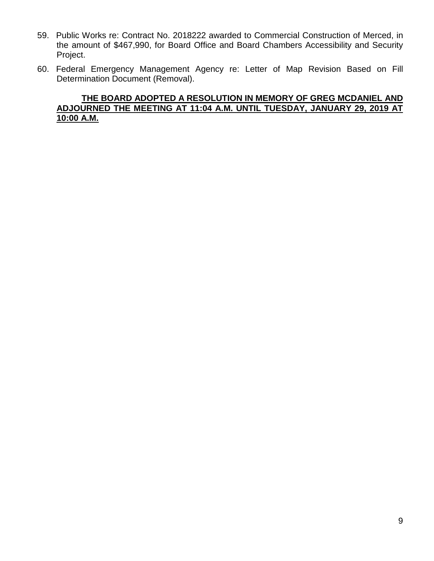- 59. Public Works re: Contract No. 2018222 awarded to Commercial Construction of Merced, in the amount of \$467,990, for Board Office and Board Chambers Accessibility and Security Project.
- 60. Federal Emergency Management Agency re: Letter of Map Revision Based on Fill Determination Document (Removal).

#### **THE BOARD ADOPTED A RESOLUTION IN MEMORY OF GREG MCDANIEL AND ADJOURNED THE MEETING AT 11:04 A.M. UNTIL TUESDAY, JANUARY 29, 2019 AT 10:00 A.M.**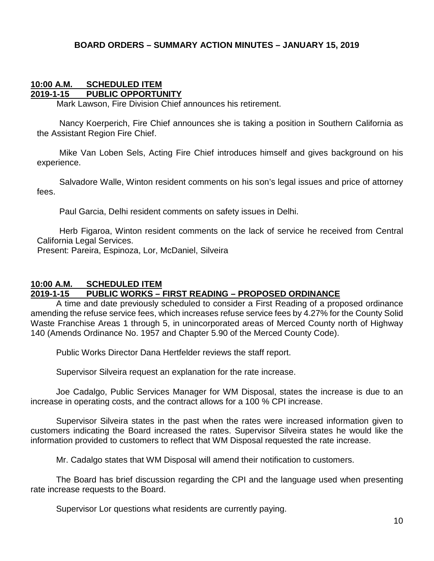### **BOARD ORDERS – SUMMARY ACTION MINUTES – JANUARY 15, 2019**

#### **10:00 A.M. SCHEDULED ITEM 2019-1-15 PUBLIC OPPORTUNITY**

Mark Lawson, Fire Division Chief announces his retirement.

Nancy Koerperich, Fire Chief announces she is taking a position in Southern California as the Assistant Region Fire Chief.

Mike Van Loben Sels, Acting Fire Chief introduces himself and gives background on his experience.

Salvadore Walle, Winton resident comments on his son's legal issues and price of attorney fees.

Paul Garcia, Delhi resident comments on safety issues in Delhi.

Herb Figaroa, Winton resident comments on the lack of service he received from Central California Legal Services.

Present: Pareira, Espinoza, Lor, McDaniel, Silveira

#### **10:00 A.M. SCHEDULED ITEM 2019-1-15 PUBLIC WORKS – FIRST READING – PROPOSED ORDINANCE**

A time and date previously scheduled to consider a First Reading of a proposed ordinance amending the refuse service fees, which increases refuse service fees by 4.27% for the County Solid Waste Franchise Areas 1 through 5, in unincorporated areas of Merced County north of Highway 140 (Amends Ordinance No. 1957 and Chapter 5.90 of the Merced County Code).

Public Works Director Dana Hertfelder reviews the staff report.

Supervisor Silveira request an explanation for the rate increase.

Joe Cadalgo, Public Services Manager for WM Disposal, states the increase is due to an increase in operating costs, and the contract allows for a 100 % CPI increase.

Supervisor Silveira states in the past when the rates were increased information given to customers indicating the Board increased the rates. Supervisor Silveira states he would like the information provided to customers to reflect that WM Disposal requested the rate increase.

Mr. Cadalgo states that WM Disposal will amend their notification to customers.

The Board has brief discussion regarding the CPI and the language used when presenting rate increase requests to the Board.

Supervisor Lor questions what residents are currently paying.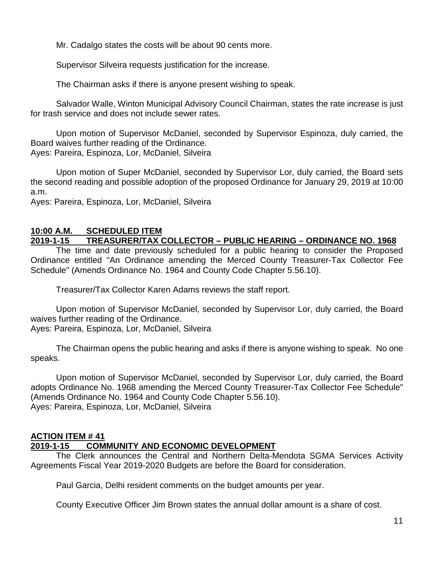Mr. Cadalgo states the costs will be about 90 cents more.

Supervisor Silveira requests justification for the increase.

The Chairman asks if there is anyone present wishing to speak.

Salvador Walle, Winton Municipal Advisory Council Chairman, states the rate increase is just for trash service and does not include sewer rates.

Upon motion of Supervisor McDaniel, seconded by Supervisor Espinoza, duly carried, the Board waives further reading of the Ordinance.

Ayes: Pareira, Espinoza, Lor, McDaniel, Silveira

Upon motion of Super McDaniel, seconded by Supervisor Lor, duly carried, the Board sets the second reading and possible adoption of the proposed Ordinance for January 29, 2019 at 10:00 a.m.

Ayes: Pareira, Espinoza, Lor, McDaniel, Silveira

### **10:00 A.M. SCHEDULED ITEM**

### **2019-1-15 TREASURER/TAX COLLECTOR – PUBLIC HEARING – ORDINANCE NO. 1968**

The time and date previously scheduled for a public hearing to consider the Proposed Ordinance entitled "An Ordinance amending the Merced County Treasurer-Tax Collector Fee Schedule" (Amends Ordinance No. 1964 and County Code Chapter 5.56.10).

Treasurer/Tax Collector Karen Adams reviews the staff report.

Upon motion of Supervisor McDaniel, seconded by Supervisor Lor, duly carried, the Board waives further reading of the Ordinance. Ayes: Pareira, Espinoza, Lor, McDaniel, Silveira

The Chairman opens the public hearing and asks if there is anyone wishing to speak. No one speaks.

Upon motion of Supervisor McDaniel, seconded by Supervisor Lor, duly carried, the Board adopts Ordinance No. 1968 amending the Merced County Treasurer-Tax Collector Fee Schedule" (Amends Ordinance No. 1964 and County Code Chapter 5.56.10). Ayes: Pareira, Espinoza, Lor, McDaniel, Silveira

#### **ACTION ITEM # 41**

### **2019-1-15 COMMUNITY AND ECONOMIC DEVELOPMENT**

The Clerk announces the Central and Northern Delta-Mendota SGMA Services Activity Agreements Fiscal Year 2019-2020 Budgets are before the Board for consideration.

Paul Garcia, Delhi resident comments on the budget amounts per year.

County Executive Officer Jim Brown states the annual dollar amount is a share of cost.